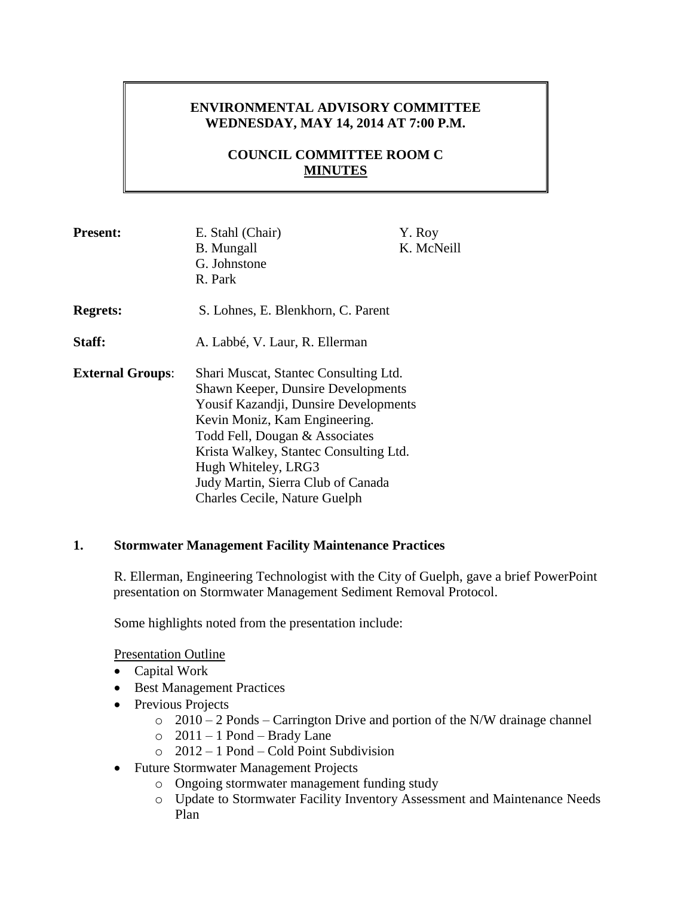# **ENVIRONMENTAL ADVISORY COMMITTEE WEDNESDAY, MAY 14, 2014 AT 7:00 P.M.**

# **COUNCIL COMMITTEE ROOM C MINUTES**

| <b>Present:</b>         | E. Stahl (Chair)<br><b>B.</b> Mungall<br>G. Johnstone<br>R. Park                                                                                                                                                                                                                                                                       | Y. Roy<br>K. McNeill |
|-------------------------|----------------------------------------------------------------------------------------------------------------------------------------------------------------------------------------------------------------------------------------------------------------------------------------------------------------------------------------|----------------------|
| <b>Regrets:</b>         | S. Lohnes, E. Blenkhorn, C. Parent                                                                                                                                                                                                                                                                                                     |                      |
| Staff:                  | A. Labbé, V. Laur, R. Ellerman                                                                                                                                                                                                                                                                                                         |                      |
| <b>External Groups:</b> | Shari Muscat, Stantec Consulting Ltd.<br><b>Shawn Keeper, Dunsire Developments</b><br>Yousif Kazandji, Dunsire Developments<br>Kevin Moniz, Kam Engineering.<br>Todd Fell, Dougan & Associates<br>Krista Walkey, Stantec Consulting Ltd.<br>Hugh Whiteley, LRG3<br>Judy Martin, Sierra Club of Canada<br>Charles Cecile, Nature Guelph |                      |

### **1. Stormwater Management Facility Maintenance Practices**

R. Ellerman, Engineering Technologist with the City of Guelph, gave a brief PowerPoint presentation on Stormwater Management Sediment Removal Protocol.

Some highlights noted from the presentation include:

Presentation Outline

- Capital Work
- Best Management Practices
- Previous Projects
	- $\degree$  2010 2 Ponds Carrington Drive and portion of the N/W drainage channel
	- $\circ$  2011 1 Pond Brady Lane
	- o 2012 1 Pond Cold Point Subdivision
- Future Stormwater Management Projects
	- o Ongoing stormwater management funding study
	- o Update to Stormwater Facility Inventory Assessment and Maintenance Needs Plan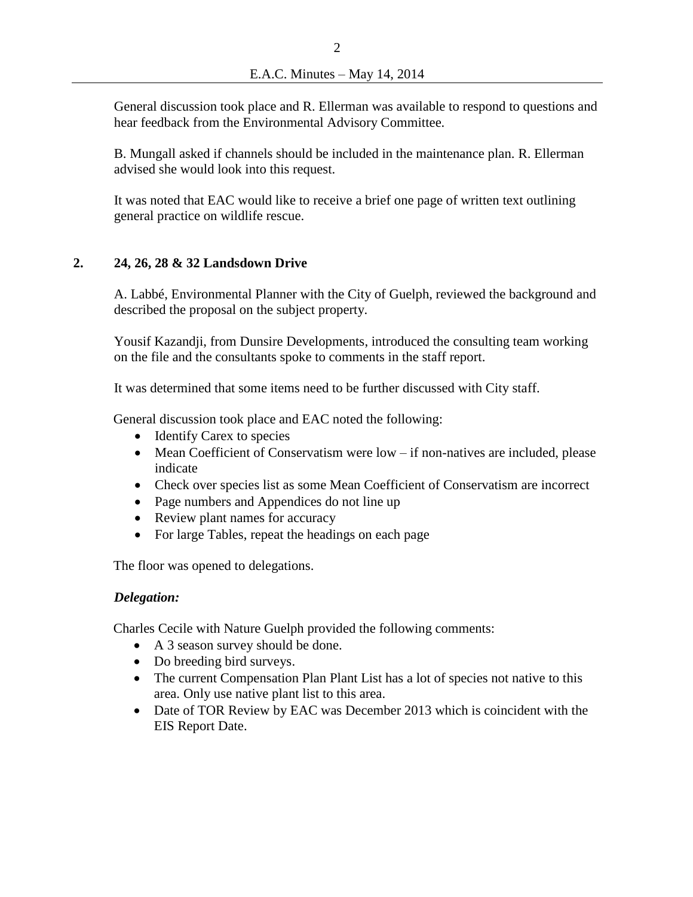General discussion took place and R. Ellerman was available to respond to questions and hear feedback from the Environmental Advisory Committee.

B. Mungall asked if channels should be included in the maintenance plan. R. Ellerman advised she would look into this request.

It was noted that EAC would like to receive a brief one page of written text outlining general practice on wildlife rescue.

# **2. 24, 26, 28 & 32 Landsdown Drive**

A. Labbé, Environmental Planner with the City of Guelph, reviewed the background and described the proposal on the subject property.

Yousif Kazandji, from Dunsire Developments, introduced the consulting team working on the file and the consultants spoke to comments in the staff report.

It was determined that some items need to be further discussed with City staff.

General discussion took place and EAC noted the following:

- Identify Carex to species
- Mean Coefficient of Conservatism were low if non-natives are included, please indicate
- Check over species list as some Mean Coefficient of Conservatism are incorrect
- Page numbers and Appendices do not line up
- Review plant names for accuracy
- For large Tables, repeat the headings on each page

The floor was opened to delegations.

### *Delegation:*

Charles Cecile with Nature Guelph provided the following comments:

- A 3 season survey should be done.
- Do breeding bird surveys.
- The current Compensation Plan Plant List has a lot of species not native to this area. Only use native plant list to this area.
- Date of TOR Review by EAC was December 2013 which is coincident with the EIS Report Date.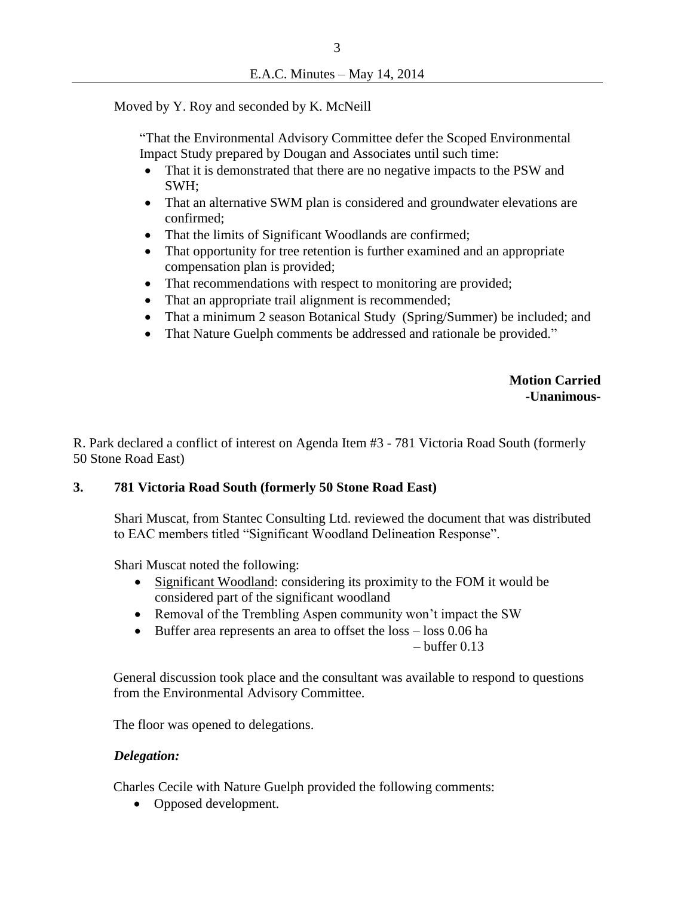Moved by Y. Roy and seconded by K. McNeill

"That the Environmental Advisory Committee defer the Scoped Environmental Impact Study prepared by Dougan and Associates until such time:

- That it is demonstrated that there are no negative impacts to the PSW and SWH;
- That an alternative SWM plan is considered and groundwater elevations are confirmed;
- That the limits of Significant Woodlands are confirmed;
- That opportunity for tree retention is further examined and an appropriate compensation plan is provided;
- That recommendations with respect to monitoring are provided;
- That an appropriate trail alignment is recommended;
- That a minimum 2 season Botanical Study (Spring/Summer) be included; and
- That Nature Guelph comments be addressed and rationale be provided."

 **Motion Carried -Unanimous-**

R. Park declared a conflict of interest on Agenda Item #3 - 781 Victoria Road South (formerly 50 Stone Road East)

#### **3. 781 Victoria Road South (formerly 50 Stone Road East)**

Shari Muscat, from Stantec Consulting Ltd. reviewed the document that was distributed to EAC members titled "Significant Woodland Delineation Response".

Shari Muscat noted the following:

- Significant Woodland: considering its proximity to the FOM it would be considered part of the significant woodland
- Removal of the Trembling Aspen community won't impact the SW
- Buffer area represents an area to offset the loss loss 0.06 ha

 $-$  buffer 0.13

General discussion took place and the consultant was available to respond to questions from the Environmental Advisory Committee.

The floor was opened to delegations.

#### *Delegation:*

Charles Cecile with Nature Guelph provided the following comments:

• Opposed development.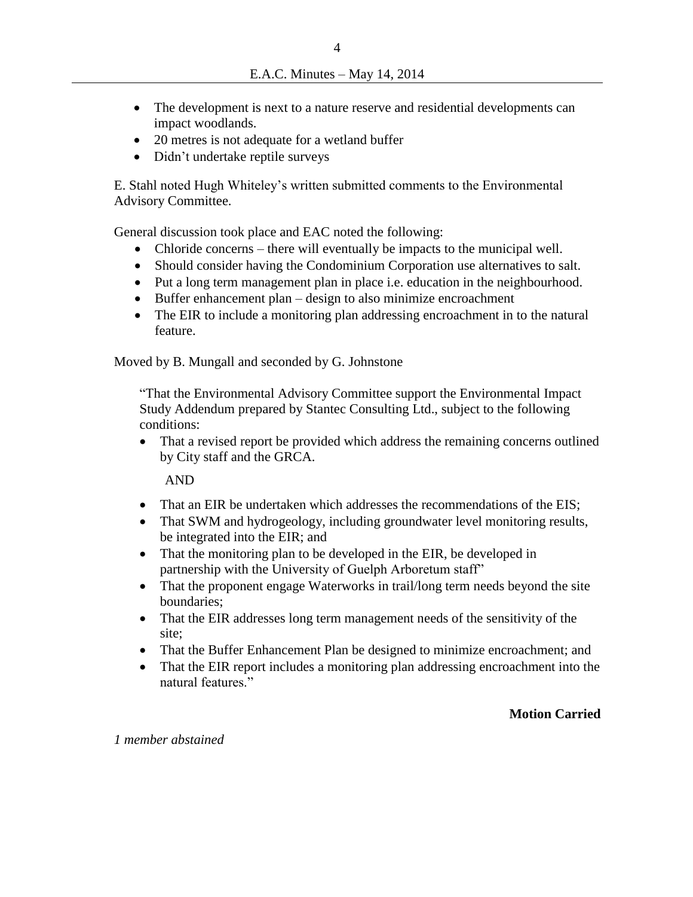- The development is next to a nature reserve and residential developments can impact woodlands.
- 20 metres is not adequate for a wetland buffer
- Didn't undertake reptile surveys

E. Stahl noted Hugh Whiteley's written submitted comments to the Environmental Advisory Committee.

General discussion took place and EAC noted the following:

- Chloride concerns there will eventually be impacts to the municipal well.
- Should consider having the Condominium Corporation use alternatives to salt.
- Put a long term management plan in place i.e. education in the neighbourhood.
- Buffer enhancement plan design to also minimize encroachment
- The EIR to include a monitoring plan addressing encroachment in to the natural feature.

Moved by B. Mungall and seconded by G. Johnstone

"That the Environmental Advisory Committee support the Environmental Impact Study Addendum prepared by Stantec Consulting Ltd., subject to the following conditions:

• That a revised report be provided which address the remaining concerns outlined by City staff and the GRCA.

AND

- That an EIR be undertaken which addresses the recommendations of the EIS;
- That SWM and hydrogeology, including groundwater level monitoring results, be integrated into the EIR; and
- That the monitoring plan to be developed in the EIR, be developed in partnership with the University of Guelph Arboretum staff"
- That the proponent engage Waterworks in trail/long term needs beyond the site boundaries;
- That the EIR addresses long term management needs of the sensitivity of the site;
- That the Buffer Enhancement Plan be designed to minimize encroachment; and
- That the EIR report includes a monitoring plan addressing encroachment into the natural features."

### **Motion Carried**

*1 member abstained*